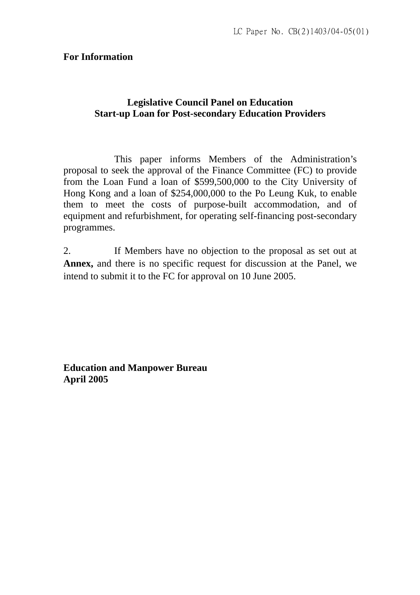#### **For Information**

## **Legislative Council Panel on Education Start-up Loan for Post-secondary Education Providers**

 This paper informs Members of the Administration's proposal to seek the approval of the Finance Committee (FC) to provide from the Loan Fund a loan of \$599,500,000 to the City University of Hong Kong and a loan of \$254,000,000 to the Po Leung Kuk, to enable them to meet the costs of purpose-built accommodation, and of equipment and refurbishment, for operating self-financing post-secondary programmes.

2. If Members have no objection to the proposal as set out at **Annex,** and there is no specific request for discussion at the Panel, we intend to submit it to the FC for approval on 10 June 2005.

**Education and Manpower Bureau April 2005**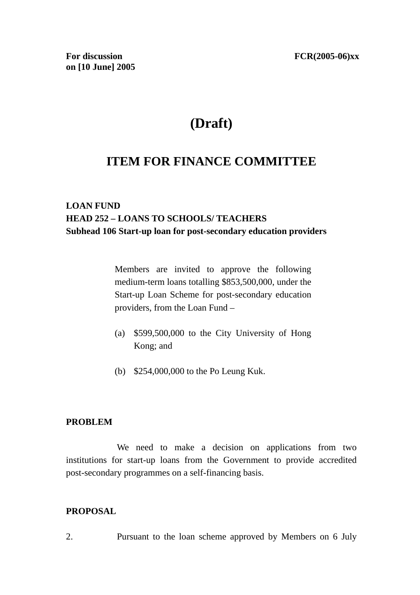# **(Draft)**

## **ITEM FOR FINANCE COMMITTEE**

## **LOAN FUND HEAD 252 – LOANS TO SCHOOLS/ TEACHERS Subhead 106 Start-up loan for post-secondary education providers**

Members are invited to approve the following medium-term loans totalling \$853,500,000, under the Start-up Loan Scheme for post-secondary education providers, from the Loan Fund –

- (a) \$599,500,000 to the City University of Hong Kong; and
- (b) \$254,000,000 to the Po Leung Kuk.

#### **PROBLEM**

 We need to make a decision on applications from two institutions for start-up loans from the Government to provide accredited post-secondary programmes on a self-financing basis.

#### **PROPOSAL**

2. Pursuant to the loan scheme approved by Members on 6 July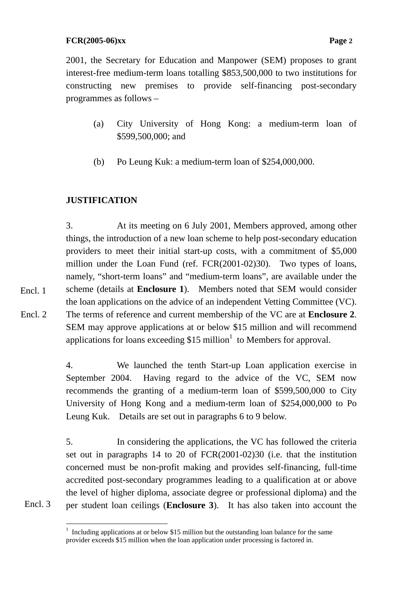2001, the Secretary for Education and Manpower (SEM) proposes to grant interest-free medium-term loans totalling \$853,500,000 to two institutions for constructing new premises to provide self-financing post-secondary programmes as follows –

- (a) City University of Hong Kong: a medium-term loan of \$599,500,000; and
- (b) Po Leung Kuk: a medium-term loan of \$254,000,000.

## **JUSTIFICATION**

3. At its meeting on 6 July 2001, Members approved, among other things, the introduction of a new loan scheme to help post-secondary education providers to meet their initial start-up costs, with a commitment of \$5,000 million under the Loan Fund (ref. FCR(2001-02)30). Two types of loans, namely, "short-term loans" and "medium-term loans", are available under the scheme (details at **Enclosure 1**). Members noted that SEM would consider the loan applications on the advice of an independent Vetting Committee (VC). The terms of reference and current membership of the VC are at **Enclosure 2**.

SEM may approve applications at or below \$15 million and will recommend applications for loans exceeding \$15 million<sup>1</sup> to Members for approval. Encl. 2

> 4. We launched the tenth Start-up Loan application exercise in September 2004. Having regard to the advice of the VC, SEM now recommends the granting of a medium-term loan of \$599,500,000 to City University of Hong Kong and a medium-term loan of \$254,000,000 to Po Leung Kuk. Details are set out in paragraphs 6 to 9 below.

> 5. In considering the applications, the VC has followed the criteria set out in paragraphs 14 to 20 of FCR(2001-02)30 (i.e. that the institution concerned must be non-profit making and provides self-financing, full-time accredited post-secondary programmes leading to a qualification at or above the level of higher diploma, associate degree or professional diploma) and the per student loan ceilings (**Enclosure 3**). It has also taken into account the

Encl. 3

Encl. 1

 1 Including applications at or below \$15 million but the outstanding loan balance for the same provider exceeds \$15 million when the loan application under processing is factored in.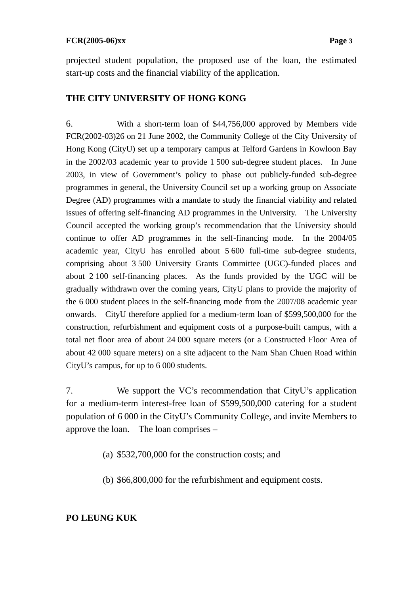#### **FCR(2005-06)xx Page 3**

projected student population, the proposed use of the loan, the estimated start-up costs and the financial viability of the application.

#### **THE CITY UNIVERSITY OF HONG KONG**

6. With a short-term loan of \$44,756,000 approved by Members vide FCR(2002-03)26 on 21 June 2002, the Community College of the City University of Hong Kong (CityU) set up a temporary campus at Telford Gardens in Kowloon Bay in the 2002/03 academic year to provide 1 500 sub-degree student places. In June 2003, in view of Government's policy to phase out publicly-funded sub-degree programmes in general, the University Council set up a working group on Associate Degree (AD) programmes with a mandate to study the financial viability and related issues of offering self-financing AD programmes in the University. The University Council accepted the working group's recommendation that the University should continue to offer AD programmes in the self-financing mode. In the 2004/05 academic year, CityU has enrolled about 5 600 full-time sub-degree students, comprising about 3 500 University Grants Committee (UGC)-funded places and about 2 100 self-financing places. As the funds provided by the UGC will be gradually withdrawn over the coming years, CityU plans to provide the majority of the 6 000 student places in the self-financing mode from the 2007/08 academic year onwards. CityU therefore applied for a medium-term loan of \$599,500,000 for the construction, refurbishment and equipment costs of a purpose-built campus, with a total net floor area of about 24 000 square meters (or a Constructed Floor Area of about 42 000 square meters) on a site adjacent to the Nam Shan Chuen Road within CityU's campus, for up to 6 000 students.

7. We support the VC's recommendation that CityU's application for a medium-term interest-free loan of \$599,500,000 catering for a student population of 6 000 in the CityU's Community College, and invite Members to approve the loan. The loan comprises –

(a) \$532,700,000 for the construction costs; and

(b) \$66,800,000 for the refurbishment and equipment costs.

#### **PO LEUNG KUK**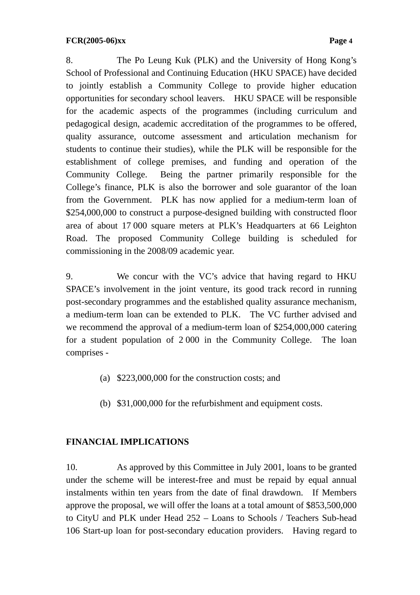8. The Po Leung Kuk (PLK) and the University of Hong Kong's School of Professional and Continuing Education (HKU SPACE) have decided to jointly establish a Community College to provide higher education opportunities for secondary school leavers. HKU SPACE will be responsible for the academic aspects of the programmes (including curriculum and pedagogical design, academic accreditation of the programmes to be offered, quality assurance, outcome assessment and articulation mechanism for students to continue their studies), while the PLK will be responsible for the establishment of college premises, and funding and operation of the Community College. Being the partner primarily responsible for the College's finance, PLK is also the borrower and sole guarantor of the loan from the Government. PLK has now applied for a medium-term loan of \$254,000,000 to construct a purpose-designed building with constructed floor area of about 17 000 square meters at PLK's Headquarters at 66 Leighton Road. The proposed Community College building is scheduled for commissioning in the 2008/09 academic year.

9. We concur with the VC's advice that having regard to HKU SPACE's involvement in the joint venture, its good track record in running post-secondary programmes and the established quality assurance mechanism, a medium-term loan can be extended to PLK. The VC further advised and we recommend the approval of a medium-term loan of \$254,000,000 catering for a student population of 2 000 in the Community College. The loan comprises -

- (a) \$223,000,000 for the construction costs; and
- (b) \$31,000,000 for the refurbishment and equipment costs.

#### **FINANCIAL IMPLICATIONS**

10. As approved by this Committee in July 2001, loans to be granted under the scheme will be interest-free and must be repaid by equal annual instalments within ten years from the date of final drawdown. If Members approve the proposal, we will offer the loans at a total amount of \$853,500,000 to CityU and PLK under Head 252 – Loans to Schools / Teachers Sub-head 106 Start-up loan for post-secondary education providers. Having regard to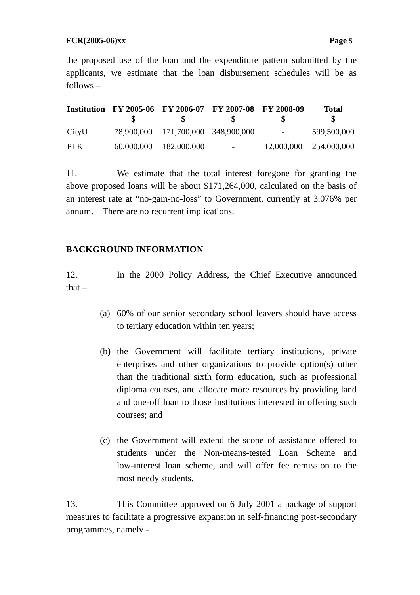the proposed use of the loan and the expenditure pattern submitted by the applicants, we estimate that the loan disbursement schedules will be as follows –

|       |            |                                    | Institution FY 2005-06 FY 2006-07 FY 2007-08 FY 2008-09 |                          | Total                  |
|-------|------------|------------------------------------|---------------------------------------------------------|--------------------------|------------------------|
| CityU |            | 78,900,000 171,700,000 348,900,000 |                                                         | $\overline{\phantom{a}}$ | 599,500,000            |
| PLK   | 60,000,000 | 182,000,000                        | $\sim 100$                                              |                          | 12,000,000 254,000,000 |

11. We estimate that the total interest foregone for granting the above proposed loans will be about \$171,264,000, calculated on the basis of an interest rate at "no-gain-no-loss" to Government, currently at 3.076% per annum. There are no recurrent implications.

#### **BACKGROUND INFORMATION**

12. In the 2000 Policy Address, the Chief Executive announced that  $-$ 

- (a) 60% of our senior secondary school leavers should have access to tertiary education within ten years;
- (b) the Government will facilitate tertiary institutions, private enterprises and other organizations to provide option(s) other than the traditional sixth form education, such as professional diploma courses, and allocate more resources by providing land and one-off loan to those institutions interested in offering such courses; and
- (c) the Government will extend the scope of assistance offered to students under the Non-means-tested Loan Scheme and low-interest loan scheme, and will offer fee remission to the most needy students.

13. This Committee approved on 6 July 2001 a package of support measures to facilitate a progressive expansion in self-financing post-secondary programmes, namely -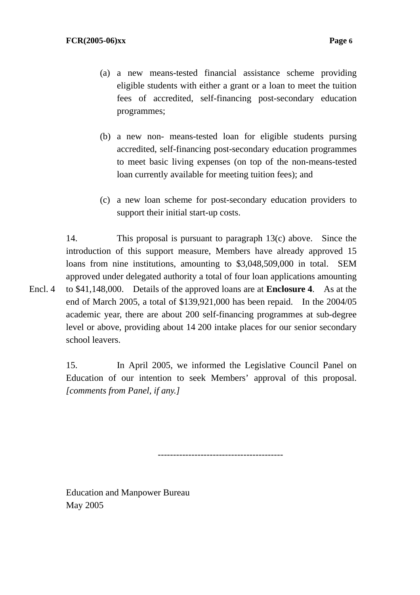- (a) a new means-tested financial assistance scheme providing eligible students with either a grant or a loan to meet the tuition fees of accredited, self-financing post-secondary education programmes;
- (b) a new non- means-tested loan for eligible students pursing accredited, self-financing post-secondary education programmes to meet basic living expenses (on top of the non-means-tested loan currently available for meeting tuition fees); and
- (c) a new loan scheme for post-secondary education providers to support their initial start-up costs.

14. This proposal is pursuant to paragraph 13(c) above. Since the introduction of this support measure, Members have already approved 15 loans from nine institutions, amounting to \$3,048,509,000 in total. SEM approved under delegated authority a total of four loan applications amounting to \$41,148,000. Details of the approved loans are at **Enclosure 4**. As at the end of March 2005, a total of \$139,921,000 has been repaid. In the 2004/05 academic year, there are about 200 self-financing programmes at sub-degree level or above, providing about 14 200 intake places for our senior secondary school leavers. Encl. 4

> 15. In April 2005, we informed the Legislative Council Panel on Education of our intention to seek Members' approval of this proposal. *[comments from Panel, if any.]*

> > -----------------------------------------

Education and Manpower Bureau May 2005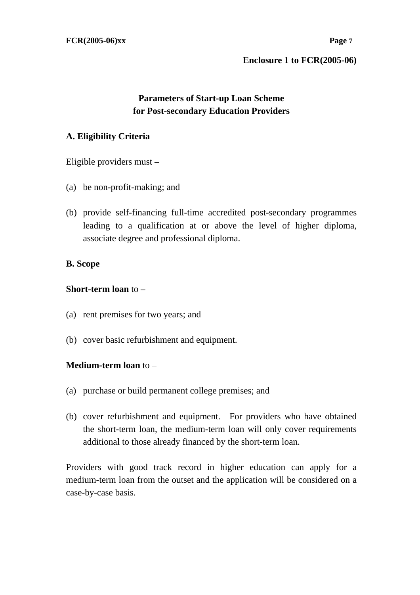### **Parameters of Start-up Loan Scheme for Post-secondary Education Providers**

#### **A. Eligibility Criteria**

Eligible providers must –

- (a) be non-profit-making; and
- (b) provide self-financing full-time accredited post-secondary programmes leading to a qualification at or above the level of higher diploma, associate degree and professional diploma.

#### **B. Scope**

#### **Short-term loan** to –

- (a) rent premises for two years; and
- (b) cover basic refurbishment and equipment.

#### **Medium-term loan** to –

- (a) purchase or build permanent college premises; and
- (b) cover refurbishment and equipment. For providers who have obtained the short-term loan, the medium-term loan will only cover requirements additional to those already financed by the short-term loan.

Providers with good track record in higher education can apply for a medium-term loan from the outset and the application will be considered on a case-by-case basis.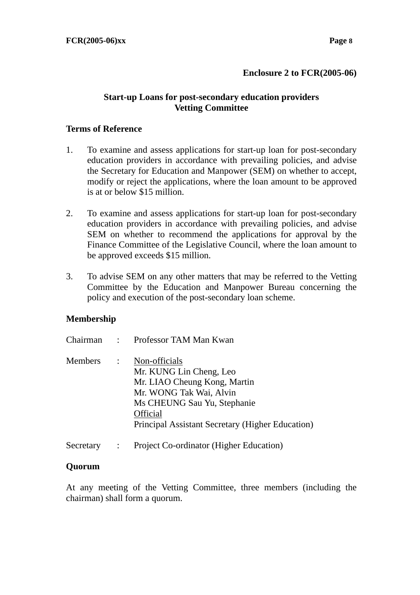#### **Enclosure 2 to FCR(2005-06)**

#### **Start-up Loans for post-secondary education providers Vetting Committee**

#### **Terms of Reference**

- 1. To examine and assess applications for start-up loan for post-secondary education providers in accordance with prevailing policies, and advise the Secretary for Education and Manpower (SEM) on whether to accept, modify or reject the applications, where the loan amount to be approved is at or below \$15 million.
- 2. To examine and assess applications for start-up loan for post-secondary education providers in accordance with prevailing policies, and advise SEM on whether to recommend the applications for approval by the Finance Committee of the Legislative Council, where the loan amount to be approved exceeds \$15 million.
- 3. To advise SEM on any other matters that may be referred to the Vetting Committee by the Education and Manpower Bureau concerning the policy and execution of the post-secondary loan scheme.

#### **Membership**

|           | Chairman: Professor TAM Man Kwan                                                                                                                                                                          |
|-----------|-----------------------------------------------------------------------------------------------------------------------------------------------------------------------------------------------------------|
| Members : | Non-officials<br>Mr. KUNG Lin Cheng, Leo<br>Mr. LIAO Cheung Kong, Martin<br>Mr. WONG Tak Wai, Alvin<br>Ms CHEUNG Sau Yu, Stephanie<br><b>Official</b><br>Principal Assistant Secretary (Higher Education) |
|           |                                                                                                                                                                                                           |

Secretary : Project Co-ordinator (Higher Education)

#### **Quorum**

At any meeting of the Vetting Committee, three members (including the chairman) shall form a quorum.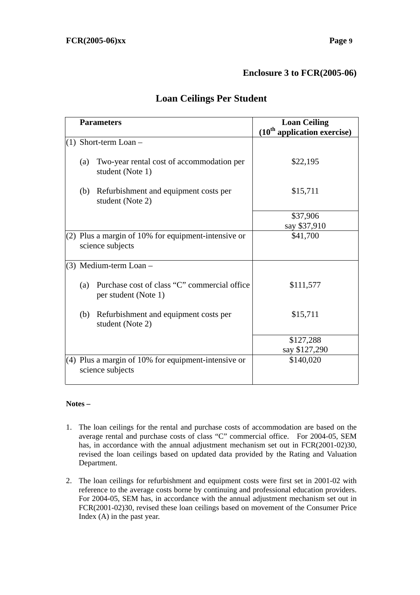#### **Enclosure 3 to FCR(2005-06)**

|     | <b>Parameters</b>                                                         | <b>Loan Ceiling</b><br>$(10th$ application exercise) |  |
|-----|---------------------------------------------------------------------------|------------------------------------------------------|--|
|     | $(1)$ Short-term Loan –                                                   |                                                      |  |
| (a) | Two-year rental cost of accommodation per<br>student (Note 1)             | \$22,195                                             |  |
| (b) | Refurbishment and equipment costs per<br>student (Note 2)                 | \$15,711                                             |  |
|     |                                                                           | \$37,906                                             |  |
|     |                                                                           | say \$37,910                                         |  |
|     | (2) Plus a margin of 10% for equipment-intensive or<br>science subjects   | \$41,700                                             |  |
|     | $(3)$ Medium-term Loan -                                                  |                                                      |  |
| (a) | Purchase cost of class "C" commercial office<br>per student (Note 1)      | \$111,577                                            |  |
| (b) | Refurbishment and equipment costs per<br>student (Note 2)                 | \$15,711                                             |  |
|     |                                                                           | \$127,288                                            |  |
|     |                                                                           | say \$127,290                                        |  |
|     | $(4)$ Plus a margin of 10% for equipment-intensive or<br>science subjects | \$140,020                                            |  |

## **Loan Ceilings Per Student**

#### **Notes –**

- 1. The loan ceilings for the rental and purchase costs of accommodation are based on the average rental and purchase costs of class "C" commercial office. For 2004-05, SEM has, in accordance with the annual adjustment mechanism set out in FCR(2001-02)30, revised the loan ceilings based on updated data provided by the Rating and Valuation Department.
- 2. The loan ceilings for refurbishment and equipment costs were first set in 2001-02 with reference to the average costs borne by continuing and professional education providers. For 2004-05, SEM has, in accordance with the annual adjustment mechanism set out in FCR(2001-02)30, revised these loan ceilings based on movement of the Consumer Price Index (A) in the past year.